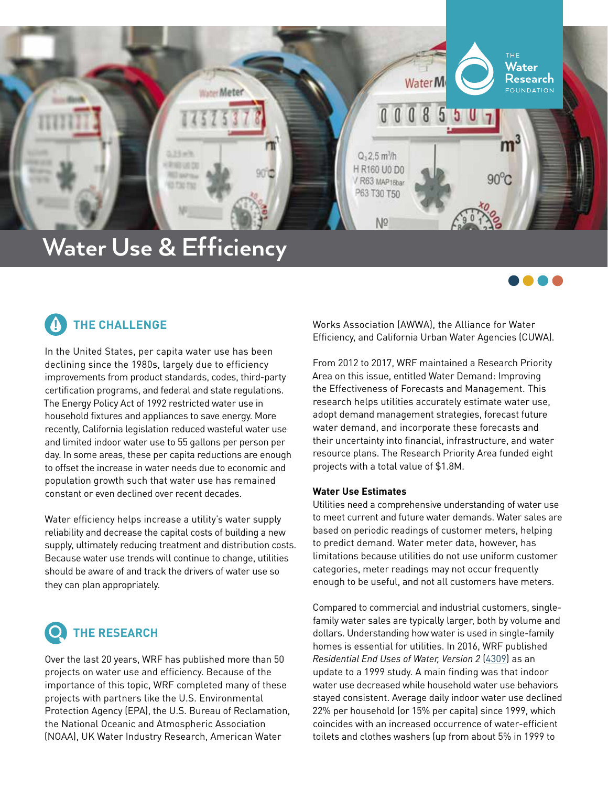

# **Water Use & Efficiency**

#### **THE CHALLENGE !**

In the United States, per capita water use has been declining since the 1980s, largely due to efficiency improvements from product standards, codes, third-party certification programs, and federal and state regulations. The Energy Policy Act of 1992 restricted water use in household fixtures and appliances to save energy. More recently, California legislation reduced wasteful water use and limited indoor water use to 55 gallons per person per day. In some areas, these per capita reductions are enough to offset the increase in water needs due to economic and population growth such that water use has remained constant or even declined over recent decades.

Water efficiency helps increase a utility's water supply reliability and decrease the capital costs of building a new supply, ultimately reducing treatment and distribution costs. Because water use trends will continue to change, utilities should be aware of and track the drivers of water use so they can plan appropriately.

## **THE RESEARCH**

Over the last 20 years, WRF has published more than 50 projects on water use and efficiency. Because of the importance of this topic, WRF completed many of these projects with partners like the U.S. Environmental Protection Agency (EPA), the U.S. Bureau of Reclamation, the National Oceanic and Atmospheric Association (NOAA), UK Water Industry Research, American Water

Works Association (AWWA), the Alliance for Water Efficiency, and California Urban Water Agencies (CUWA).

....

From 2012 to 2017, WRF maintained a Research Priority Area on this issue, entitled Water Demand: Improving the Effectiveness of Forecasts and Management. This research helps utilities accurately estimate water use, adopt demand management strategies, forecast future water demand, and incorporate these forecasts and their uncertainty into financial, infrastructure, and water resource plans. The Research Priority Area funded eight projects with a total value of \$1.8M.

### **Water Use Estimates**

Utilities need a comprehensive understanding of water use to meet current and future water demands. Water sales are based on periodic readings of customer meters, helping to predict demand. Water meter data, however, has limitations because utilities do not use uniform customer categories, meter readings may not occur frequently enough to be useful, and not all customers have meters.

Compared to commercial and industrial customers, singlefamily water sales are typically larger, both by volume and dollars. Understanding how water is used in single-family homes is essential for utilities. In 2016, WRF published *Residential End Uses of Water, Version 2* [\(4309](https://www.waterrf.org/research/projects/residential-end-uses-water-version-2)) as an update to a 1999 study. A main finding was that indoor water use decreased while household water use behaviors stayed consistent. Average daily indoor water use declined 22% per household (or 15% per capita) since 1999, which coincides with an increased occurrence of water-efficient toilets and clothes washers (up from about 5% in 1999 to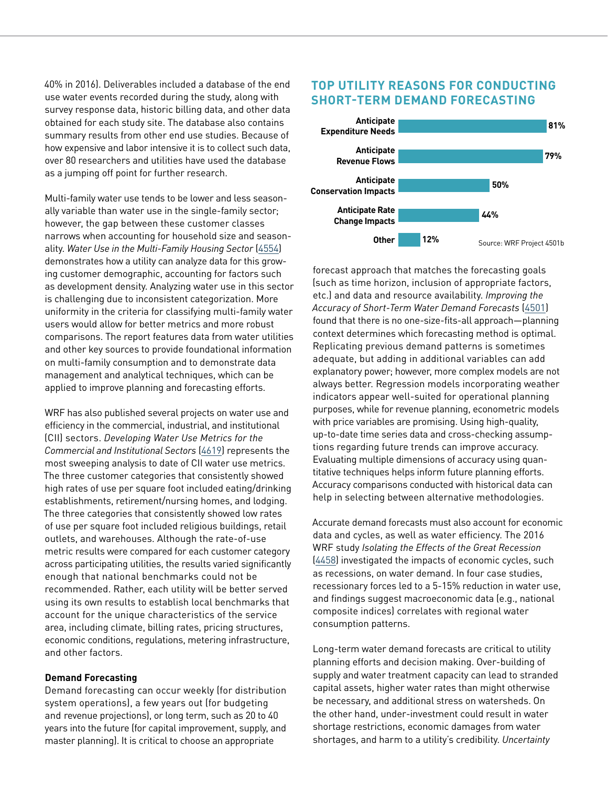40% in 2016). Deliverables included a database of the end use water events recorded during the study, along with survey response data, historic billing data, and other data obtained for each study site. The database also contains summary results from other end use studies. Because of how expensive and labor intensive it is to collect such data, over 80 researchers and utilities have used the database as a jumping off point for further research.

Multi-family water use tends to be lower and less seasonally variable than water use in the single-family sector; however, the gap between these customer classes narrows when accounting for household size and seasonality. *[Water Use in the Multi-Family Housing Sector](https://www.waterrf.org/research/projects/water-use-multi-family-housing-sector)* [\(4554\)](https://www.waterrf.org/research/projects/water-use-multi-family-housing-sector) demonstrates how a utility can analyze data for this growing customer demographic, accounting for factors such as development density. Analyzing water use in this sector is challenging due to inconsistent categorization. More uniformity in the criteria for classifying multi-family water users would allow for better metrics and more robust comparisons. The report features data from water utilities and other key sources to provide foundational information on multi-family consumption and to demonstrate data management and analytical techniques, which can be applied to improve planning and forecasting efforts.

WRF has also published several projects on water use and efficiency in the commercial, industrial, and institutional (CII) sectors. *Developing Water Use Metrics for the Commercial and Institutional Sectors* ([4619](https://www.waterrf.org/research/projects/developing-water-use-metrics-commercial-and-institutional-sectors)) represents the most sweeping analysis to date of CII water use metrics. The three customer categories that consistently showed high rates of use per square foot included eating/drinking establishments, retirement/nursing homes, and lodging. The three categories that consistently showed low rates of use per square foot included religious buildings, retail outlets, and warehouses. Although the rate-of-use metric results were compared for each customer category across participating utilities, the results varied significantly enough that national benchmarks could not be recommended. Rather, each utility will be better served using its own results to establish local benchmarks that account for the unique characteristics of the service area, including climate, billing rates, pricing structures, economic conditions, regulations, metering infrastructure, and other factors.

#### **Demand Forecasting**

Demand forecasting can occur weekly (for distribution system operations), a few years out (for budgeting and revenue projections), or long term, such as 20 to 40 years into the future (for capital improvement, supply, and master planning). It is critical to choose an appropriate

### **TOP UTILITY REASONS FOR CONDUCTING SHORT-TERM DEMAND FORECASTING**



forecast approach that matches the forecasting goals (such as time horizon, inclusion of appropriate factors, etc.) and data and resource availability. *Improving the Accuracy of Short-Term Water Demand Forecasts* ([4501\)](https://www.waterrf.org/research/projects/short-term-water-demand-forecasting-survey-manual-and-research-report) found that there is no one-size-fits-all approach—planning context determines which forecasting method is optimal. Replicating previous demand patterns is sometimes adequate, but adding in additional variables can add explanatory power; however, more complex models are not always better. Regression models incorporating weather indicators appear well-suited for operational planning purposes, while for revenue planning, econometric models with price variables are promising. Using high-quality, up-to-date time series data and cross-checking assumptions regarding future trends can improve accuracy. Evaluating multiple dimensions of accuracy using quantitative techniques helps inform future planning efforts. Accuracy comparisons conducted with historical data can help in selecting between alternative methodologies.

Accurate demand forecasts must also account for economic data and cycles, as well as water efficiency. The 2016 WRF study *Isolating the Effects of the Great Recession*  ([4458](https://www.waterrf.org/research/projects/water-demand-forecasting-uncertain-times-isolating-effects-great-recession)) investigated the impacts of economic cycles, such as recessions, on water demand. In four case studies, recessionary forces led to a 5-15% reduction in water use, and findings suggest macroeconomic data (e.g., national composite indices) correlates with regional water consumption patterns.

Long-term water demand forecasts are critical to utility planning efforts and decision making. Over-building of supply and water treatment capacity can lead to stranded capital assets, higher water rates than might otherwise be necessary, and additional stress on watersheds. On the other hand, under-investment could result in water shortage restrictions, economic damages from water shortages, and harm to a utility's credibility. *Uncertainty*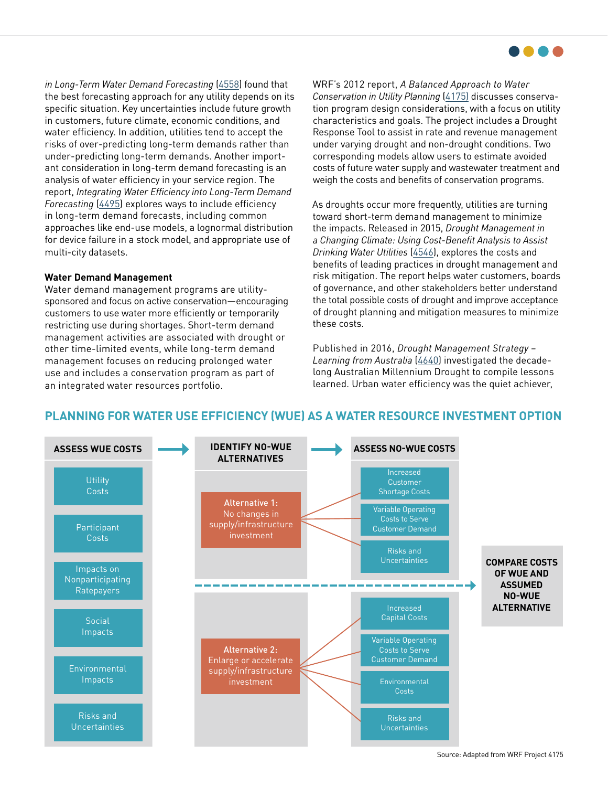

*in Long-Term Water Demand Forecasting* [\(4558\)](https://www.waterrf.org/research/projects/uncertainty-long-term-water-demand-forecasting) found that the best forecasting approach for any utility depends on its specific situation. Key uncertainties include future growth in customers, future climate, economic conditions, and water efficiency. In addition, utilities tend to accept the risks of over-predicting long-term demands rather than under-predicting long-term demands. Another important consideration in long-term demand forecasting is an analysis of water efficiency in your service region. The report, *Integrating Water Efficiency into Long-Term Demand Forecasting* ([4495\)](https://www.waterrf.org/research/projects/integrating-water-efficiency-long-term-demand-forecasting) explores ways to include efficiency in long-term demand forecasts, including common approaches like end-use models, a lognormal distribution for device failure in a stock model, and appropriate use of multi-city datasets.

#### **Water Demand Management**

Water demand management programs are utilitysponsored and focus on active conservation—encouraging customers to use water more efficiently or temporarily restricting use during shortages. Short-term demand management activities are associated with drought or other time-limited events, while long-term demand management focuses on reducing prolonged water use and includes a conservation program as part of an integrated water resources portfolio.

WRF's 2012 report, *A Balanced Approach to Water Conservation in Utility Planning* ([4175](https://www.waterrf.org/research/projects/balanced-approach-water-conservation-utility-planning)) discusses conservation program design considerations, with a focus on utility characteristics and goals. The project includes a Drought Response Tool to assist in rate and revenue management under varying drought and non-drought conditions. Two corresponding models allow users to estimate avoided costs of future water supply and wastewater treatment and weigh the costs and benefits of conservation programs.

As droughts occur more frequently, utilities are turning toward short-term demand management to minimize the impacts. Released in 2015, *Drought Management in a Changing Climate: Using Cost-Benefit Analysis to Assist Drinking Water Utilities* [\(4546\)](https://www.waterrf.org/research/projects/drought-management-changing-climate-using-cost-benefit-analyses-assist-drinking), explores the costs and benefits of leading practices in drought management and risk mitigation. The report helps water customers, boards of governance, and other stakeholders better understand the total possible costs of drought and improve acceptance of drought planning and mitigation measures to minimize these costs.

Published in 2016, *Drought Management Strategy – Learning from Australia* ([4640\)](https://www.waterrf.org/research/projects/drought-management-strategy-learning-australia) investigated the decadelong Australian Millennium Drought to compile lessons learned. Urban water efficiency was the quiet achiever,



### **PLANNING FOR WATER USE EFFICIENCY (WUE) AS A WATER RESOURCE INVESTMENT OPTION**